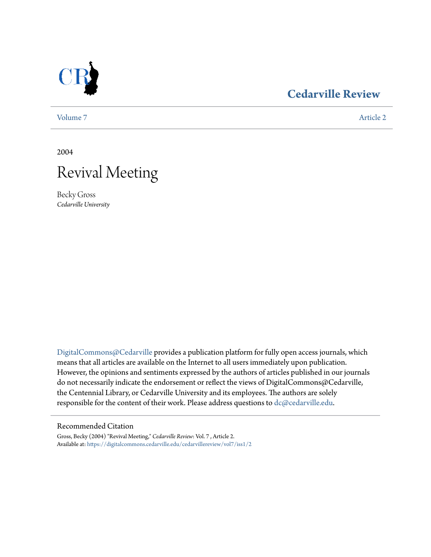

## **[Cedarville Review](https://digitalcommons.cedarville.edu/cedarvillereview?utm_source=digitalcommons.cedarville.edu%2Fcedarvillereview%2Fvol7%2Fiss1%2F2&utm_medium=PDF&utm_campaign=PDFCoverPages)**

[Volume 7](https://digitalcommons.cedarville.edu/cedarvillereview/vol7?utm_source=digitalcommons.cedarville.edu%2Fcedarvillereview%2Fvol7%2Fiss1%2F2&utm_medium=PDF&utm_campaign=PDFCoverPages) [Article 2](https://digitalcommons.cedarville.edu/cedarvillereview/vol7/iss1/2?utm_source=digitalcommons.cedarville.edu%2Fcedarvillereview%2Fvol7%2Fiss1%2F2&utm_medium=PDF&utm_campaign=PDFCoverPages)

2004

# Revival Meeting

Becky Gross *Cedarville University*

[DigitalCommons@Cedarville](http://digitalcommons.cedarville.edu) provides a publication platform for fully open access journals, which means that all articles are available on the Internet to all users immediately upon publication. However, the opinions and sentiments expressed by the authors of articles published in our journals do not necessarily indicate the endorsement or reflect the views of DigitalCommons@Cedarville, the Centennial Library, or Cedarville University and its employees. The authors are solely responsible for the content of their work. Please address questions to [dc@cedarville.edu](mailto:dc@cedarville.edu).

#### Recommended Citation

Gross, Becky (2004) "Revival Meeting," *Cedarville Review*: Vol. 7 , Article 2. Available at: [https://digitalcommons.cedarville.edu/cedarvillereview/vol7/iss1/2](https://digitalcommons.cedarville.edu/cedarvillereview/vol7/iss1/2?utm_source=digitalcommons.cedarville.edu%2Fcedarvillereview%2Fvol7%2Fiss1%2F2&utm_medium=PDF&utm_campaign=PDFCoverPages)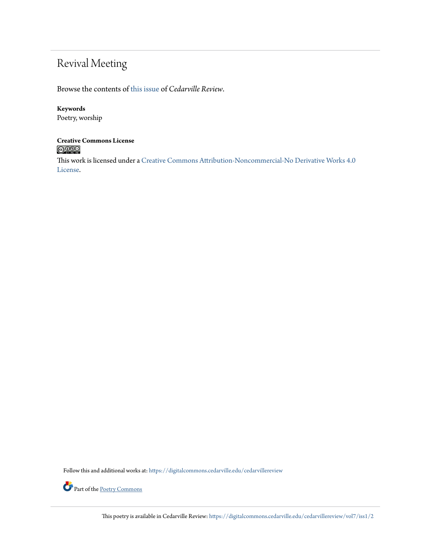## Revival Meeting

Browse the contents of [this issue](https://digitalcommons.cedarville.edu/cedarvillereview/vol7/iss1) of *Cedarville Review*.

#### **Keywords**

Poetry, worship

#### **Creative Commons License**  $\bigcirc$  000

This work is licensed under a [Creative Commons Attribution-Noncommercial-No Derivative Works 4.0](http://creativecommons.org/licenses/by-nc-nd/4.0/) [License.](http://creativecommons.org/licenses/by-nc-nd/4.0/)

Follow this and additional works at: [https://digitalcommons.cedarville.edu/cedarvillereview](https://digitalcommons.cedarville.edu/cedarvillereview?utm_source=digitalcommons.cedarville.edu%2Fcedarvillereview%2Fvol7%2Fiss1%2F2&utm_medium=PDF&utm_campaign=PDFCoverPages)



Part of the <u>[Poetry Commons](http://network.bepress.com/hgg/discipline/1153?utm_source=digitalcommons.cedarville.edu%2Fcedarvillereview%2Fvol7%2Fiss1%2F2&utm_medium=PDF&utm_campaign=PDFCoverPages)</u>

This poetry is available in Cedarville Review: [https://digitalcommons.cedarville.edu/cedarvillereview/vol7/iss1/2](https://digitalcommons.cedarville.edu/cedarvillereview/vol7/iss1/2?utm_source=digitalcommons.cedarville.edu%2Fcedarvillereview%2Fvol7%2Fiss1%2F2&utm_medium=PDF&utm_campaign=PDFCoverPages)